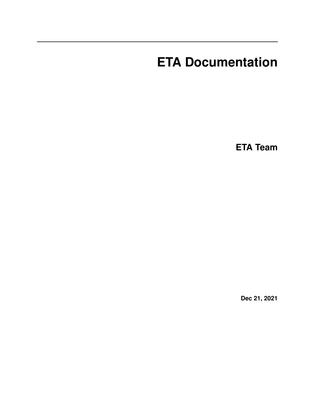# **ETA Documentation**

**ETA Team**

**Dec 21, 2021**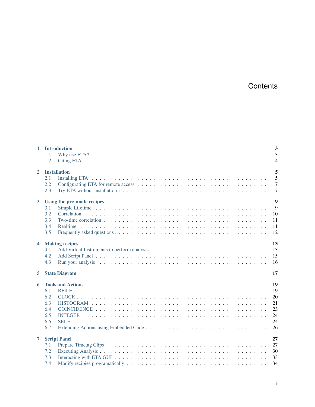# **Contents**

|                | 1 Introduction             | $\overline{\mathbf{3}}$ |
|----------------|----------------------------|-------------------------|
|                | 1.1                        | $\overline{3}$          |
|                | 1.2                        | $\overline{4}$          |
| $\mathbf{2}$   | <b>Installation</b>        | 5                       |
|                | 2.1                        | 5                       |
|                | 2.2                        | $\overline{7}$          |
|                | 2.3                        | $\overline{7}$          |
|                |                            |                         |
| $\mathbf{3}$   | Using the pre-made recipes | $\overline{9}$          |
|                | 3.1                        | 9                       |
|                | 3.2                        | 10                      |
|                | 3.3                        | 11                      |
|                | 3.4                        | 11                      |
|                | 3.5                        | 12                      |
|                |                            |                         |
| $\overline{4}$ | <b>Making recipes</b>      | 13                      |
|                | 4.1                        | 13                      |
|                | 4.2                        | 15                      |
|                | 4.3                        | 16                      |
| 5              | <b>State Diagram</b>       | 17                      |
| 6              | <b>Tools and Actions</b>   | 19                      |
|                | 6.1                        | 19                      |
|                | 6.2                        | 20                      |
|                | 6.3                        | 21                      |
|                | 6.4                        | 23                      |
|                | 6.5                        | 24                      |
|                | 6.6                        | 24                      |
|                | 6.7                        | 26                      |
|                |                            |                         |
| $\overline{7}$ | <b>Script Panel</b>        | 27                      |
|                | 7.1                        | 27                      |
|                | 7.2                        | 30                      |
|                | 7.3                        | 33                      |
|                | 7.4                        | 34                      |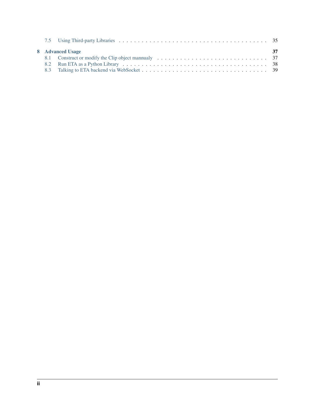|  | 8 Advanced Usage | -37 |
|--|------------------|-----|
|  |                  |     |
|  |                  |     |
|  |                  |     |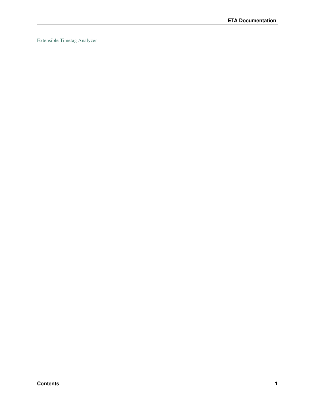[Extensible Timetag Analyzer](https://timetag.github.io)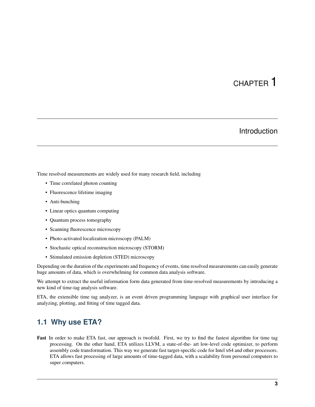# CHAPTER 1

# Introduction

<span id="page-6-0"></span>Time resolved measurements are widely used for many research field, including

- Time correlated photon counting
- Fluorescence lifetime imaging
- Anti-bunching
- Linear optics quantum computing
- Quantum process tomography
- Scanning fluorescence microscopy
- Photo-activated localization microscopy (PALM)
- Stochastic optical reconstruction microscopy (STORM)
- Stimulated emission depletion (STED) microscopy

Depending on the duration of the experiments and frequency of events, time resolved measurements can easily generate huge amounts of data, which is overwhelming for common data analysis software.

We attempt to extract the useful information form data generated from time-resolved measurements by introducing a new kind of time-tag analysis software.

ETA, the extensible time tag analyzer, is an event driven programming language with graphical user interface for analyzing, plotting, and fitting of time tagged data.

# <span id="page-6-1"></span>**1.1 Why use ETA?**

Fast In order to make ETA fast, our approach is twofold. First, we try to find the fastest algorithm for time tag processing. On the other hand, ETA utilizes LLVM, a state-of-the- art low-level code optimizer, to perform assembly code transformation. This way we generate fast target-specific code for Intel x64 and other processors. ETA allows fast processing of large amounts of time-tagged data, with a scalability from personal computers to super computers.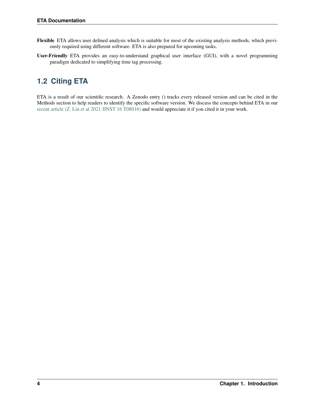- Flexible ETA allows user defined analysis which is suitable for most of the existing analysis methods, which previously required using different software. ETA is also prepared for upcoming tasks.
- User-Friendly ETA provides an easy-to-understand graphical user interface (GUI), with a novel programming paradigm dedicated to simplifying time tag processing.

# <span id="page-7-0"></span>**1.2 Citing ETA**

ETA is a result of our scientific research. A Zenodo entry () tracks every released version and can be cited in the Methods section to help readers to identify the specific software version. We discuss the concepts behind ETA in our [recent article \(Z. Lin et al 2021 JINST 16 T08016\)](https://doi.org/10.1088/1748-0221/16/08/T08016) and would appreciate it if you cited it in your work.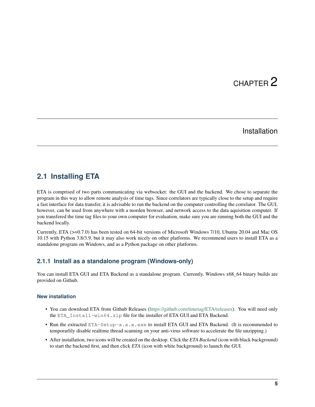# CHAPTER 2

# Installation

# <span id="page-8-1"></span><span id="page-8-0"></span>**2.1 Installing ETA**

ETA is comprised of two parts communicating via websocket: the GUI and the backend. We chose to separate the program in this way to allow remote analysis of time tags. Since correlators are typically close to the setup and require a fast interface for data transfer, it is advisable to run the backend on the computer controlling the correlator. The GUI, however, can be used from anywhere with a morden browser, and network access to the data aquisition computer. If you transfered the time tag files to your own computer for evaluation, make sure you are running both the GUI and the backend locally.

Currently, ETA (>=0.7.0) has been tested on 64-bit versions of Microsoft Windows 7/10, Ubuntu 20.04 and Mac OS 10.15 with Python 3.8/3.9, but it may also work nicely on other platforms. We recommend users to install ETA as a standalone program on Windows, and as a Python package on other platforms.

## **2.1.1 Install as a standalone program (Windows-only)**

You can install ETA GUI and ETA Backend as a standalone program. Currently, Windows x68\_64 binary builds are provided on Github.

#### **New installation**

- You can download ETA from Github Releases [\(https://github.com/timetag/ETA/releases\)](https://github.com/timetag/ETA/releases). You will need only the ETA\_Install-win64.zip file for the installer of ETA GUI and ETA Backend.
- Run the extracted ETA-Setup-x.x.x.exe to install ETA GUI and ETA Backend. (It is recommended to temporarlily disable realtime thread scanning on your anti-virus software to accelerate the file unzipping.)
- After installation, two icons will be created on the desktop. Click the *ETA Backend* (icon with black background) to start the backend first, and then click *ETA* (icon with white background) to launch the GUI.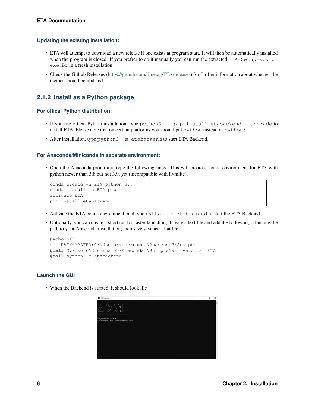#### **Updating the existing installation:**

- ETA will attempt to download a new release if one exists at program start. It will then be automatically installed when the program is closed. If you prefrer to do it manually you can run the extracted  $ETA-Setup-x.x.x.$ exe like in a fresh installation.
- Check the Github Releases [\(https://github.com/timetag/ETA/releases\)](https://github.com/timetag/ETA/releases) for further information about whether the recipes should be updated.

## **2.1.2 Install as a Python package**

#### **For offical Python distribution:**

- If you use offical Python installation, type python3 -m pip install etabackend --upgrade to install ETA. Please note that on certian platforms you should put python instead of python3.
- After installation, type python3 -m etabackend to start ETA Backend.

#### **For Anaconda/Miniconda in separate environment:**

• Open the Anaconda promt and type the following lines. This will create a conda environment for ETA with python newer than 3.8 but not 3.9, yet (incompatible with llvmlite).

```
conda create -n ETA python=3.8
conda install -n ETA pip
activate ETA
pip install etabackend
```
- Activate the ETA conda envronment, and type python -m etabackend to start the ETA Backend.
- Optionally, you can create a short cut for faster launching. Create a text file and add the following, adjusting the path to your Anaconda installation, then save save as a .bat file.

```
@echo off
set PATH=%PATH%;C:\Users\<username>\Anaconda3\Scripts
@call C:\Users\<username>\Anaconda3\Scripts\activate.bat ETA
@call python -m etabackend
```
#### **Launch the GUI**

• When the Backend is started, it should look lile

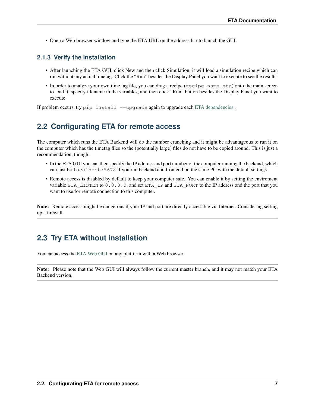• Open a Web browser window and type the ETA URL on the address bar to launch the GUI.

## **2.1.3 Verify the Installation**

- After launching the ETA GUI, click New and then click Simulation, it will load a simulation recipe which can run without any actual timetag. Click the "Run" besides the Display Panel you want to execute to see the results.
- In order to analyze your own time tag file, you can drag a recipe (recipe\_name.eta) onto the main screen to load it, specify filename in the variables, and then click "Run" button besides the Display Panel you want to execute.

If problem occurs, try pip install --upgrade again to upgrade each [ETA dependencies](https://github.com/timetag/ETA/blob/master/requirements.txt).

# <span id="page-10-0"></span>**2.2 Configurating ETA for remote access**

The computer which runs the ETA Backend will do the number crunching and it might be advantageous to run it on the computer which has the timetag files so the (potentially large) files do not have to be copied around. This is just a recommendation, though.

- In the ETA GUI you can then specify the IP address and port number of the computer running the backend, which can just be localhost:5678 if you run backend and frontend on the same PC with the default settings.
- Remote access is disabled by default to keep your computer safe. You can enable it by setting the enviroment variable ETA\_LISTEN to 0.0.0.0, and set ETA\_IP and ETA\_PORT to the IP address and the port that you want to use for remote connection to this computer.

Note: Remote access might be dangerous if your IP and port are directly accessible via Internet. Considering setting up a firewall.

# <span id="page-10-1"></span>**2.3 Try ETA without installation**

You can access the [ETA Web GUI](https://timetag.github.io/ETA/etabackend/static/) on any platform with a Web browser.

Note: Please note that the Web GUI will always follow the current master branch, and it may not match your ETA Backend version.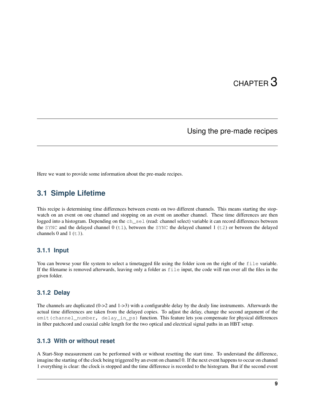# CHAPTER 3

# Using the pre-made recipes

<span id="page-12-0"></span>Here we want to provide some information about the pre-made recipes.

# <span id="page-12-1"></span>**3.1 Simple Lifetime**

This recipe is determining time differences between events on two different channels. This means starting the stopwatch on an event on one channel and stopping on an event on another channel. These time differences are then logged into a histogram. Depending on the ch sel (read: channel select) variable it can record differences between the SYNC and the delayed channel  $(0 (t)$ , between the SYNC the delayed channel  $(1 (t)$  or between the delayed channels 0 and 1  $(\pm 3)$ .

#### **3.1.1 Input**

You can browse your file system to select a timetagged file using the folder icon on the right of the file variable. If the filename is removed afterwards, leaving only a folder as file input, the code will run over all the files in the given folder.

#### **3.1.2 Delay**

The channels are duplicated (0->2 and 1->3) with a configurable delay by the dealy line instruments. Afterwards the actual time differences are taken from the delayed copies. To adjust the delay, change the second argument of the emit(channel\_number, delay\_in\_ps) function. This feature lets you compensate for physical differences in fiber patchcord and coaxial cable length for the two optical and electrical signal paths in an HBT setup.

#### **3.1.3 With or without reset**

A Start-Stop measurement can be performed with or without resetting the start time. To understand the difference, imagine the starting of the clock being triggered by an event on channel 0. If the next event happens to occur on channel 1 everything is clear: the clock is stopped and the time difference is recorded to the histogram. But if the second event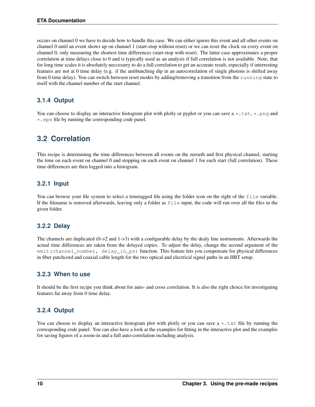occurs on channel 0 we have to decide how to handle this case. We can either ignore this event and all other events on channel 0 until an event shows up on channel 1 (start-stop without reset) or we can reset the clock on every event on channel 0, only measuring the shortest time differences (start-stop with reset). The latter case approximates a proper correlation at time delays close to 0 and is typically used as an analysis if full correlation is not available. Note, that for long time scales it is absolutely neccesarry to do a full correlation to get an accurate result, especially if interresting features are not at 0 time delay (e.g. if the antibunching dip in an autocorrelation of single photons is shifted away from 0 time delay). You can switch between reset modes by adding/removing a transition from the running state to itself with the channel number of the start channel.

## **3.1.4 Output**

You can choose to display an interactive histogram plot with plotly or pyplot or you can save a  $\star$ .txt,  $\star$ .png and \*.eps file by running the corresponding code panel.

# <span id="page-13-0"></span>**3.2 Correlation**

This recipe is determining the time differences between all events on the zeroeth and first physical channel, starting the time on each event on channel 0 and stopping on each event on channel 1 for each start (full correlation). These time differences are then logged into a histogram.

## **3.2.1 Input**

You can browse your file system to select a timetagged file using the folder icon on the right of the file variable. If the filename is removed afterwards, leaving only a folder as file input, the code will run over all the files in the given folder.

#### **3.2.2 Delay**

The channels are duplicated (0->2 and 1->3) with a configurable delay by the dealy line instruments. Afterwards the actual time differences are taken from the delayed copies. To adjust the delay, change the second argument of the emit(channel\_number, delay\_in\_ps) function. This feature lets you compensate for physical differences in fiber patchcord and coaxial cable length for the two optical and electrical signal paths in an HBT setup.

#### **3.2.3 When to use**

It should be the first recipe you think about for auto- and cross correlation. It is also the right choice for investigating features far away from 0 time delay.

#### **3.2.4 Output**

You can choose to display an interactive histogram plot with plotly or you can save a  $\star$ .txt file by running the corresponding code panel. You can also have a look at the examples for fitting in the interactive plot and the examples for saving figures of a zoom-in and a full auto-correlation including analysis.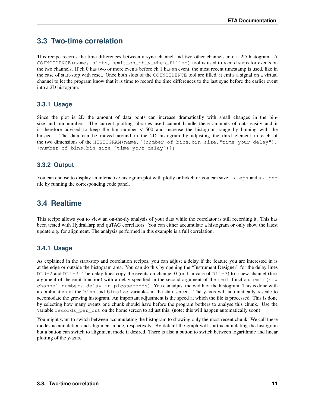# <span id="page-14-0"></span>**3.3 Two-time correlation**

This recipe records the time differences between a sync channel and two other channels into a 2D histogram. A COINCIDENCE(name, slots, emit\_on\_ch\_x\_when\_filled) tool is used to record stops for events on the two channels. If ch 0 has two or more events before ch 1 has an event, the most recent timestamp is used, like in the case of start-stop with reset. Once both slots of the COINCIDENCE tool are filled, it emits a signal on a virtual channel to let the program know that it is time to record the time differences to the last sync before the earlier event into a 2D histogram.

## **3.3.1 Usage**

Since the plot is 2D the amount of data ponts can increase dramatically with small changes in the binsize and bin number. The current plotting libraries used cannot handle these amounts of data easily and it is therefore advised to keep the bin number < 500 and increase the histogram range by binning with the binsize. The data can be moved around in the 2D histogram by adjusting the third element in each of the two dimensions of the HISTOGRAM(name,[(number\_of\_bins,bin\_size,"time-your\_delay"), (number\_of\_bins,bin\_size,"time-your\_delay")]).

## **3.3.2 Output**

You can choose to display an interactive histogram plot with plotly or bokeh or you can save  $a * \text{.eps}$  and  $a * \text{.prg}$ file by running the corresponding code panel.

# <span id="page-14-1"></span>**3.4 Realtime**

This recipe allows you to view an on-the-fly analysis of your data while the correlator is still recording it. This has been tested with HydraHarp and quTAG correlators. You can either accumulate a histogram or only show the latest update e.g. for alignment. The analysis performed in this example is a full correlation.

## **3.4.1 Usage**

As explained in the start-stop and correlation recipes, you can adjust a delay if the feature you are interested in is at the edge or outside the histogram area. You can do this by opening the "Instrument Designer" for the delay lines  $DLO-2$  and  $DLI-3$ . The delay lines copy the events on channel 0 (or 1 in case of  $DLI-3$ ) to a new channel (first argument of the emit function) with a delay specified in the second argument of the emit function: emit (new channel number, delay in picoseconds). You can adjust the width of the histogram. This is done with a combination of the bins and binsize variables in the start screen. The y-axis will automatically rescale to accomodate the growing histogram. An important adjustment is the speed at which the file is processed. This is done by selecting how many events one chunk should have before the program bothers to analyse this chunk. Use the variable records\_per\_cut on the home screen to adjust this. (note: this will happen automatically soon)

You might want to switch between accumulating the histogram to showing only the most recent chunk. We call these modes accumulation and alignment mode, respectively. By default the graph will start accumulating the histogram but a button can switch to alignment mode if desired. There is also a button to switch between logarithmic and linear plotting of the y-axis.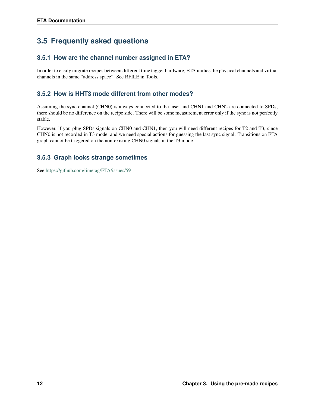# <span id="page-15-0"></span>**3.5 Frequently asked questions**

## **3.5.1 How are the channel number assigned in ETA?**

In order to easily migrate recipes between different time tagger hardware, ETA unifies the physical channels and virtual channels in the same "address space". See RFILE in Tools.

## **3.5.2 How is HHT3 mode different from other modes?**

Assuming the sync channel (CHN0) is always connected to the laser and CHN1 and CHN2 are connected to SPDs, there should be no difference on the recipe side. There will be some measurement error only if the sync is not perfectly stable.

However, if you plug SPDs signals on CHN0 and CHN1, then you will need different recipes for T2 and T3, since CHN0 is not recorded in T3 mode, and we need special actions for guessing the last sync signal. Transitions on ETA graph cannot be triggered on the non-existing CHN0 signals in the T3 mode.

## **3.5.3 Graph looks strange sometimes**

See <https://github.com/timetag/ETA/issues/59>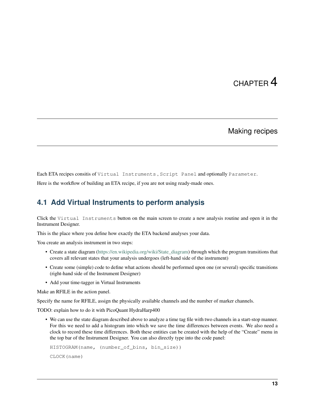# CHAPTER 4

# Making recipes

<span id="page-16-0"></span>Each ETA recipes consitis of Virtual Instruments , Script Panel and optionally Parameter.

Here is the workflow of building an ETA recipe, if you are not using ready-made ones.

# <span id="page-16-1"></span>**4.1 Add Virtual Instruments to perform analysis**

Click the Virtual Instruments button on the main screen to create a new analysis routine and open it in the Instrument Designer.

This is the place where you define how exactly the ETA backend analyses your data.

You create an analysis instrument in two steps:

- Create a state diagram [\(https://en.wikipedia.org/wiki/State\\_diagram\)](https://en.wikipedia.org/wiki/State_diagram) through which the program transitions that covers all relevant states that your analysis undergoes (left-hand side of the instrument)
- Create some (simple) code to define what actions should be performed upon one (or several) specific transitions (right-hand side of the Instrument Designer)
- Add your time-tagger in Virtual Instruments

Make an RFILE in the action panel.

Specify the name for RFILE, assign the physically available channels and the number of marker channels.

TODO: explain how to do it with PicoQuant HydraHarp400

• We can use the state diagram described above to analyze a time tag file with two channels in a start-stop manner. For this we need to add a histogram into which we save the time differences between events. We also need a clock to record these time differences. Both these entities can be created with the help of the "Create" menu in the top bar of the Instrument Designer. You can also directly type into the code panel:

```
HISTOGRAM(name, (number_of_bins, bin_size))
CLOCK(name)
```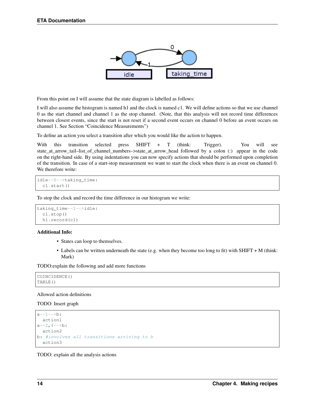

From this point on I will assume that the state diagram is labelled as follows:

I will also assume the histogram is named h1 and the clock is named c1. We will define actions so that we use channel 0 as the start channel and channel 1 as the stop channel. (Note, that this analysis will not record time differences between closest events, since the start is not reset if a second event occurs on channel 0 before an event occurs on channel 1. See Section "Coincidence Measurements")

To define an action you select a transition after which you would like the action to happen.

With this transition selected press SHIFT + T (think: Trigger). You will see state\_at\_arrow\_tail–list\_of\_channel\_numbers–>state\_at\_arrow\_head followed by a colon (:) appear in the code on the right-hand side. By using indentations you can now specify actions that should be performed upon completion of the transition. In case of a start-stop measurement we want to start the clock when there is an event on channel 0. We therefore write:

```
idle--0-->taking_time:
 c1.start()
```
To stop the clock and record the time difference in our histogram we write:

```
taking_time--1-->idle:
 c1.stop()
 h1.record(c1)
```
#### Additional Info:

- States can loop to themselves.
- Labels can be written underneath the state (e.g. when they become too long to fit) with SHIFT + M (think: Mark)

TODO:explain the following and add more functions

```
COINCIDENCE()
TABLE()
```
#### Allowed action definitions

TODO: Insert graph

```
a--1--&>b:
  action1
a^{--2}, 4^{--}b:
  action2
b: #involves all transitions arriving to b
  action3
```
TODO: explain all the analysis actions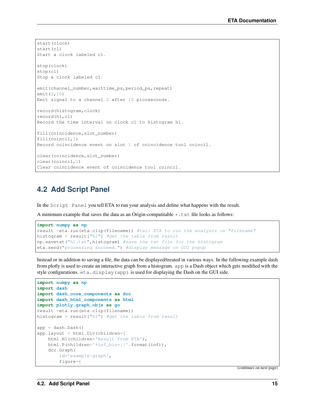```
start(clock)
start(c1)
Start a clock labeled c1.
stop(clock)
stop(c1)
Stop a clock labeled c1.
emit(channel_number, waittime_ps, period_ps, repeat)
emit(2,10)
Emit signal to a channel 2 after 10 picoseconds.
record(histogram,clock)
record(h1,c1)
Record the time interval on clock c1 to histogram h1.
fill(coincidence,slot_number)
fill(coinci1,1)
Record coincidence event on slot 1 of coincidence tool coinci1.
clear(coincidence, slot_number)
clear(coinci1,1)
Clear coincidence event of coincidence tool coinci1.
```
## <span id="page-18-0"></span>**4.2 Add Script Panel**

In the Script Panel you tell ETA to run your analysis and define what happens with the result.

A minimum example that saves the data as an Origin-compatitable  $\star$ . txt file looks as follows:

```
import numpy as np
result =eta.run(eta.clip(filename)) #tell ETA to run the analysis on "filename"
histogram = result["h1"] #get the table from result
np.savetxt("h1.txt",histogram) #save the txt file for the histogram
eta.send("processing succeed.") #display message on GUI popup
```
Instead or in addition to saving a file, the data can be displayed/treated in various ways. In the following example dash from plotly is used to create an interactive graph from a histogram. app is a Dash object which gets modified with the style configurations. eta.display(app) is used for displaying the Dash on the GUI side.

```
import numpy as np
import dash
import dash_core_components as dcc
import dash_html_components as html
import plotly.graph_objs as go
result =eta.run(eta.clip(filename))
histogram = result["h1"] #get the table from result
app = dash.Dash()
app.layout = html.Div(children=[
   html.H1(children='Result from ETA'),
   html.P(children='+inf_bin={}'.format(inf)),
   dcc.Graph(
        id='example-graph',
        figure={
```
(continues on next page)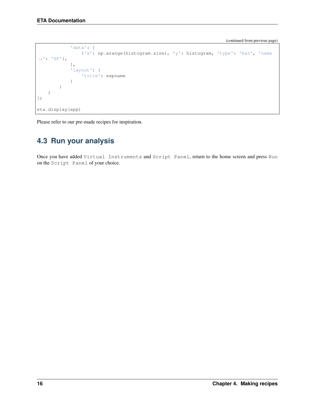(continued from previous page)

```
'data': [
                 {'x': np.arange(histogram.size), 'y': histogram, 'type': 'bar', 'name
˓→': 'SF'},
             ],
             'layout': {
                 'title': expname
             }
        }
    \big)])
eta.display(app)
```
Please refer to our pre-made recipes for inspiration.

# <span id="page-19-0"></span>**4.3 Run your analysis**

Once you have added Virtual Instruments and Script Panel, return to the home screen and press Run on the Script Panel of your choice.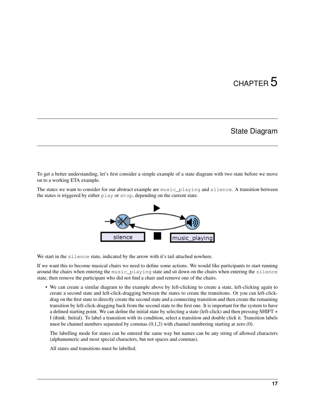# CHAPTER 5

# State Diagram

<span id="page-20-0"></span>To get a better understanding, let's first consider a simple example of a state diagram with two state before we move on to a working ETA example.

The states we want to consider for our abstract example are music\_playing and silence. A transition between the states is triggered by either play or stop, depending on the current state.



We start in the silence state, indicated by the arrow with it's tail attached nowhere.

If we want this to become musical chairs we need to define some actions. We would like participants to start running around the chairs when entering the music\_playing state and sit down on the chairs when entering the silence state, then remove the participant who did not find a chair and remove one of the chairs.

• We can create a similar diagram to the example above by left-clicking to create a state, left-clicking again to create a second state and left-click-dragging between the states to create the transitions. Or you can left-clickdrag on the first state to directly create the second state and a connecting transition and then create the remaining transition by left-click-dragging back from the second state to the first one. It is important for the system to have a defined starting point. We can define the initial state by selecting a state (left-click) and then pressing SHIFT + I (think: Initial). To label a transition with its condition, select a transition and double click it. Transition labels must be channel numbers separated by commas  $(0,1,2)$  with channel numbering starting at zero  $(0)$ .

The labelling mode for states can be entered the same way but names can be any string of allowed characters (alphanumeric and most special characters, but not spaces and commas).

All states and transitions must be labelled.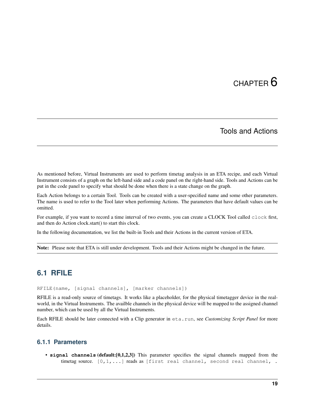# CHAPTER<sup>6</sup>

# Tools and Actions

<span id="page-22-0"></span>As mentioned before, Virtual Instruments are used to perform timetag analysis in an ETA recipe, and each Virtual Instrument consists of a graph on the left-hand side and a code panel on the right-hand side. Tools and Actions can be put in the code panel to specify what should be done when there is a state change on the graph.

Each Action belongs to a certain Tool. Tools can be created with a user-specified name and some other parameters. The name is used to refer to the Tool later when performing Actions. The parameters that have default values can be omitted.

For example, if you want to record a time interval of two events, you can create a CLOCK Tool called clock first, and then do Action clock.start() to start this clock.

In the following documentation, we list the built-in Tools and their Actions in the current version of ETA.

Note: Please note that ETA is still under development. Tools and their Actions might be changed in the future.

# <span id="page-22-1"></span>**6.1 RFILE**

RFILE(name, [signal channels], [marker channels])

RFILE is a read-only source of timetags. It works like a placeholder, for the physical timetagger device in the realworld, in the Virtual Instruments. The availble channels in the physical device will be mapped to the assigned channel number, which can be used by all the Virtual Instruments.

Each RFILE should be later connected with a Clip generator in eta.run, see *Customizing Script Panel* for more details.

### **6.1.1 Parameters**

• **signal channels** (default:[0,1,2,3]) This parameter specifies the signal channels mapped from the timetag source.  $[0,1,...]$  reads as [first real channel, second real channel, .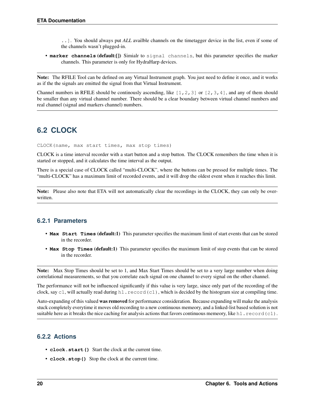..]. You should always put *ALL* availble channels on the timetagger device in the list, even if some of the channels wasn't plugged-in.

• **marker channels** (default:[]) Simialr to signal channels, but this parameter specifies the marker channels. This parameter is only for HydraHarp devices.

Note: The RFILE Tool can be defined on any Virtual Instrument graph. You just need to define it once, and it works as if the the signals are emitted the signal from that Virtual Instrument.

Channel numbers in RFILE should be continously ascending, like  $[1,2,3]$  or  $[2,3,4]$ , and any of them should be smaller than any virtual channel number. There should be a clear boundary between virtual channel numbers and real channel (signal and markers channel) numbers.

# <span id="page-23-0"></span>**6.2 CLOCK**

CLOCK(name, max start times, max stop times)

CLOCK is a time interval recorder with a start button and a stop button. The CLOCK remembers the time when it is started or stopped, and it calculates the time interval as the output.

There is a special case of CLOCK called "multi-CLOCK", where the buttons can be pressed for multiple times. The "multi-CLOCK" has a maximum limit of recorded events, and it will drop the oldest event when it reaches this limit.

Note: Please also note that ETA will not automatically clear the recordings in the CLOCK, they can only be overwritten.

#### **6.2.1 Parameters**

- **Max Start Times** (default:1) This parameter specifies the maximum limit of start events that can be stored in the recorder.
- **Max Stop Times** (default:1) This parameter specifies the maximum limit of stop events that can be stored in the recorder.

Note: Max Stop Times should be set to 1, and Max Start Times should be set to a very large number when doing correlational measurements, so that you correlate each signal on one channel to every signal on the other channel.

The performance will not be influenced significantly if this value is very large, since only part of the recording of the clock, say  $c1$ , will actually read during h1. record(c1), which is decided by the histogram size at compiling time.

Auto-expanding of this valued was removed for performance consideration. Because expanding will make the analysis stuck completely everytime it moves old recording to a new continuous memeory, and a linked-list based solution is not suitable here as it breaks the nice caching for analysis actions that favors continuous memeory, like h1.  $record(c1)$ .

### **6.2.2 Actions**

- **clock.start()** Start the clock at the current time.
- **clock.stop()** Stop the clock at the current time.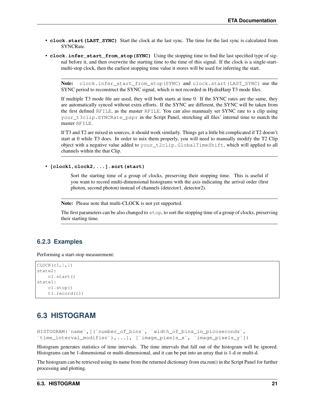- **clock.start (LAST\_SYNC)** Start the clock at the last sync. The time for the last sync is calculated from SYNCRate.
- **clock.infer\_start\_from\_stop(SYNC)** Using the stopping time to find the last specified type of signal before it, and then overwrite the starting time to the time of this signal. If the clock is a single-startmulti-stop clock, then the earliest stopping time value it stores will be used for inferring the start.

Note: clock.infer\_start\_from\_stop(SYNC) and clock.start(LAST\_SYNC) use the SYNC period to reconstruct the SYNC signal, which is not recorded in HydraHarp T3 mode files.

If multiple T3 mode file are used, they will both starts at time 0. If the SYNC rates are the same, they are automatically synced without extra efforts. If the SYNC are different, the SYNC will be taken from the first defined RFILE, as the master RFILE. You can also mannualy set SYNC rate to a clip using your\_t3clip.SYNCRate\_pspr in the Script Panel, stretching all files' internal time to match the master RFILE.

If T3 and T2 are mixed in sources, it should work similarly. Things get a little bit complicated if T2 doesn't start at 0 while T3 does. In order to mix them properly, you will need to manually modify the T2 Clip object with a negative value added to your\_t2clip.GlobalTimeShift, which will applied to all channels within the that Clip.

• **[clock1,clock2,...].sort(start)**

Sort the starting time of a group of clocks, preserving their stopping time. This is useful if you want to record multi-dimensional histograms with the axis indicating the arrival order (first photon, second photon) instead of channels (detector1, detector2).

Note: Please note that multi-CLOCK is not yet supported.

The first parameters can be also changed to stop, to sort the stopping time of a group of clocks, preserving their starting time.

#### **6.2.3 Examples**

Performing a start-stop measurement:

```
CLOCK(c1,1,1)
state2:
    c1.start()
state1:
    c1.stop()
    t1.record(c1)
```
# <span id="page-24-0"></span>**6.3 HISTOGRAM**

```
HISTOGRAM(`name`,[(`number_of_bins`, `width_of_bins_in_picoseconds`,
`time_interval_modifier`),...], [`image_pixels_x`, `image_pixels_y`])
```
Histogram generates statistics of time intervals. The time intervals that fall out of the histogram will be ignored. Histograms can be 1-dimensional or multi-dimensional, and it can be put into an array that is 1-d or multi-d.

The histogram can be retrieved using its name from the returned dictionary from eta.run() in the Script Panel for further processing and plotting.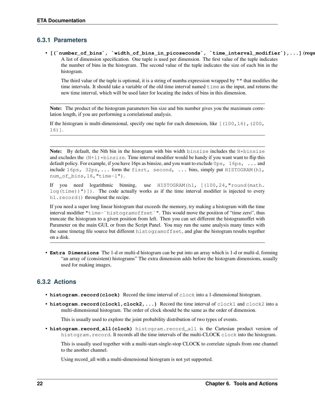## **6.3.1 Parameters**

• [(`number\_of\_bins`, `width\_of\_bins\_in\_picoseconds`, `time\_interval\_modifier`),...] (requ A list of dimension specification. One tuple is used per dimension. The first value of the tuple indicates the number of bins in the histogram. The second value of the tuple indicates the size of each bin in the histogram.

The third value of the tuple is optional, it is a string of numba expression wrapped by "" that modifies the time intervala. It should take a variable of the old time interval named  $t$  ime as the input, and returns the new time interval, which will be used later for locating the index of bins in this dimension.

Note: The product of the histogram parameters bin size and bin number gives you the maximum correlation length, if you are performing a correlational analysis.

If the histogram is multi-dimensional, specify one tuple for each dimension, like  $[(100,16), (200,$ 16)].

Note: By default, the Nth bin in the histogram with bin width binsize includes the N\*binsize and excludes the  $(N+1)*binsize$ . Time interval modifier would be handy if you want want to flip this default policy. For example, if you have 16ps as binsize, and you want to exclude 0ps, 16ps, ... and include 16ps, 32ps,... form the fisrt, second, ... bins, simply put HISTOGRAM(h1, num\_of\_bins,16,"time-1").

If you need logarithmic binning, use HISTOGRAM(h1, [(100,24,"round(math.  $log(time)$ )")]). The code actually works as if the time interval modifier is injected to every h1.record() throughout the recipe.

If you need a super long linear histogram that exceeds the memory, try making a histogram with the time interval modifier "time-`histogramoffset`". This would move the position of "time zero", thus truncate the histogram to a given position from left. Then you can set different the histogramoffet with Parameter on the main GUI, or from the Script Panel. You may run the same analysis many times with the same timetag file source but different histogramoffset, and glue the histogram results together on a disk.

• **Extra Dimensions** The 1-d or multi-d histogram can be put into an array which is 1-d or multi-d, forming "an array of (consistent) histograms" The extra dimension adds before the histogram dimensions, usually used for making images.

## **6.3.2 Actions**

- **histogram.record(clock)** Record the time interval of clock into a 1-dimensional histogram.
- histogram.record(clock1,clock2,...) Record the time interval of clock1 and clock2 into a multi-dimensional histogram. The order of clock should be the same as the order of dimension.

This is usually used to explore the joint probability distribution of two types of events.

• **histogram.record\_all(clock)** histogram.record\_all is the Cartesian product version of histogram.record. It records all the time intervals of the multi-CLOCK clock into the histogram.

This is usually used together with a multi-start-single-stop CLOCK to correlate signals from one channel to the another channel.

Using record\_all with a multi-dimensional histogram is not yet supported.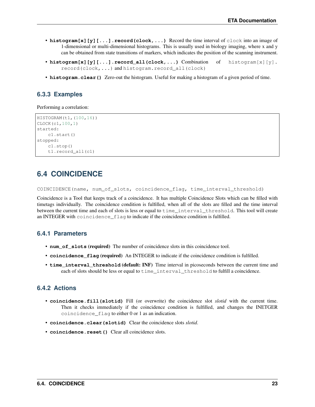- **histogram**[x][y][...].record(clock,...) Record the time interval of clock into an image of 1-dimensional or multi-dimensional histograms. This is usually used in biology imaging, where x and y can be obtained from state transitions of markers, which indicates the position of the scanning instrument.
- **histogram[x][y][...].record\_all(clock,...)** Combination of histogram[x][y]. record(clock,...) and histogram.record\_all(clock)
- **histogram.clear()** Zero-out the histogram. Useful for making a histogram of a given period of time.

## **6.3.3 Examples**

#### Performing a correlation:

```
HISTOGRAM(t1,(100,16))
CLOCK(c1,100,1)
started:
    c1.start()
stopped:
    c1.stop()
    t1.record_all(c1)
```
# <span id="page-26-0"></span>**6.4 COINCIDENCE**

COINCIDENCE(name, num\_of\_slots, coincidence\_flag, time\_interval\_threshold)

Coincidence is a Tool that keeps track of a coincidence. It has multiple Coincidence Slots which can be filled with timetags individually. The coincidence condition is fulfilled, when all of the slots are filled and the time interval between the current time and each of slots is less or equal to time\_interval\_threshold. This tool will create an INTEGER with coincidence\_flag to indicate if the coincidence condition is fulfilled.

#### **6.4.1 Parameters**

- **num** of slots (required) The number of coincidence slots in this coincidence tool.
- **coincidence\_flag** (required) An INTEGER to indicate if the coincidence condition is fulfilled.
- **time\_interval\_threshold** (default: INF) Time interval in picoseconds between the current time and each of slots should be less or equal to time\_interval\_threshold to fulfill a coincidence.

## **6.4.2 Actions**

- **coincidence.fill(slotid)** Fill (or overwrite) the coincidence slot *slotid* with the current time. Then it checks immediately if the coincidence condition is fulfilled, and changes the INETGER coincidence\_flag to either 0 or 1 as an indication.
- **coincidence.clear(slotid)** Clear the coincidence slots *slotid*.
- **coincidence.reset()** Clear all coincidence slots.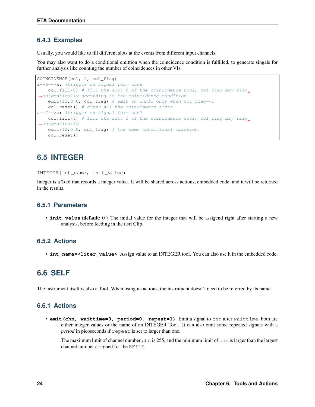## **6.4.3 Examples**

Usually, you would like to fill different slots at the events from different input channels.

You may also want to do a conditional emittion when the coincidence condition is fulfilled, to generate singals for further analysis like counting the number of coincidences in other VIs.

```
COINCIDENCE(co1, 2, co1_flag)
a--6-->a: #trigger on signal form chn6
   col.fill(0) # fill the slot 0 of the coincidence tool, col_flag may flip
˓→automatically according to the coincidence condition
   emit(12,0,0, co1_flag) # emit on chn12 only when col\_flag == 1co1.reset() # clear all the coincidence slots
a--7-->a: #trigger on signal form chn7
   co1.fill(1) # fill the slot 1 of the coincidence tool, co1_flag may flip_
˓→automatically
   emit(12,0,0, co1_flag) # the same conditional emission.
   co1.reset()
```
# <span id="page-27-0"></span>**6.5 INTEGER**

INTEGER(int\_name, init\_value)

Integer is a Tool that records a integer value. It will be shared across actions, embedded code, and it will be returned in the results.

### **6.5.1 Parameters**

• **init\_value** (default: 0) The initial value for the integer that will be assigend right after starting a new analysis, before feeding in the fisrt Clip.

### **6.5.2 Actions**

• **int\_name=<liter\_value>** Assign value to an INTEGER tool. You can also use it in the embedded code.

# <span id="page-27-1"></span>**6.6 SELF**

The instrument itself is also a Tool. When using its actions, the instrument doesn't need to be referred by its name.

## **6.6.1 Actions**

• **emit(chn, waittime=0, period=0, repeat=1)** Emit a signal to chn after waittime, both are either integer values or the name of an INTEGER Tool. It can also emit some repeated signals with a *period* in picoseconds if repeat is set to larger than one.

The maximum limit of channel number chn is 255, and the minimum limit of chn is larger than the largest channel number assigned for the RFILE.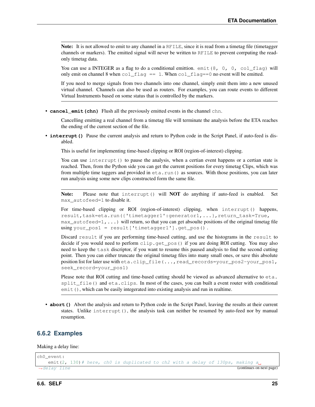Note: It is not allowed to emit to any channel in a RFILE, since it is read from a timetag file (timetagger channels or markers). The emitted signal will never be written to RFILE to prevent corrputing the readonly timetag data.

You can use a INTEGER as a flag to do a conditional emittion. emit  $(8, 0, 0, \text{col}_\text{1,0})$  will only emit on channel 8 when co1  $\pm$ lag == 1. When co1  $\pm$ lag==0 no event will be emitted.

If you need to merge signals from two channels into one channel, simply emit them into a new unused virtual channel. Channels can also be used as routers. For examples, you can route events to different Virtual Instruments based on some status that is controlled by the markers.

• **cancel\_emit(chn)** Flush all the previously emitted events in the channel chn.

Cancelling emitting a real channel from a timetag file will terminate the analysis before the ETA reaches the ending of the current section of the file.

• **interrupt ()** Pause the current analysis and return to Python code in the Script Panel, if auto-feed is disabled.

This is useful for implementing time-based clipping or ROI (region-of-interest) clipping.

You can use interrupt() to pause the analysis, when a certian event happens or a certian state is reached. Then, from the Python side you can get the current positions for every timetag Clips, which was from multiple time taggers and provided in  $eta$ .run() as sources. With those positions, you can later run analysis using some new clips constructed form the same file.

Note: Please note that interrupt() will NOT do anything if auto-feed is enabled. Set max\_autofeed=1 to disable it.

For time-based clipping or ROI (region-of-interest) clipping, when interrupt() happens, result,task=eta.run({'timetagger1':generator1,...},return\_task=True,  $\max$  autofeed=1, ...) will return, so that you can get absoulte positions of the original timetag file using your\_pos1 = result['timetagger1'].get\_pos() .

Discard result if you are performing time-based cutting, and use the histograms in the result to decide if you would need to perform clip.get\_pos() if you are doing ROI cutting. You may also need to keep the task discriptor, if you want to resume this paused analysis to find the second cutting point. Then you can either truncate the original timetag files into many small ones, or save this absolute position list for later use with eta.clip\_file(...,read\_records=your\_pos2-your\_pos1, seek\_record=your\_pos1)

Please note that ROI cutting and time-based cutting should be viewed as advanced alternative to  $eta$ . split file() and eta.clips. In most of the cases, you can built a event router with conditional emit(), which can be easily integerated into existing analysis and run in realtime.

• **abort ()** Abort the analysis and return to Python code in the Script Panel, leaving the results at their current states. Unlike interrupt(), the analysis task can neither be resumed by auto-feed nor by manual resumption.

#### **6.6.2 Examples**

Making a delay line:

```
ch0_event:
  emit(2, 130)# here, ch0 is duplicated to ch2 with a delay of 130ps, making a
→delay line (continues on next page)
```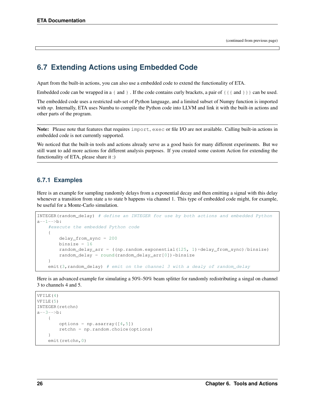# <span id="page-29-0"></span>**6.7 Extending Actions using Embedded Code**

Apart from the built-in actions, you can also use a embedded code to extend the functionality of ETA.

Embedded code can be wrapped in a { and }. If the code contains curly brackets, a pair of  $\{\{\text{and }\} \}\}$  can be used.

The embedded code uses a restricted sub-set of Python language, and a limited subset of Numpy function is imported with *np*. Internally, ETA uses Numba to compile the Python code into LLVM and link it with the built-in actions and other parts of the program.

Note: Please note that features that requires import, exec or file I/O are not available. Calling built-in actions in embedded code is not currently supported.

We noticed that the built-in tools and actions already serve as a good basis for many different experiments. But we still want to add more actions for different analysis purposes. If you created some custom Action for extending the functionality of ETA, please share it :)

#### **6.7.1 Examples**

Here is an example for sampling randomly delays from a exponential decay and then emitting a signal with this delay whenever a transition from state a to state b happens via channel 1. This type of embedded code might, for example, be useful for a Monte-Carlo simulation.

```
INTEGER(random delay) # define an INTEGER for use by both actions and embedded Python
a--1-->b:
    #execute the embedded Python code
    {
        delay_from_sync = 200
        binsize = 16random_delay_arr = ((np.random.exponential(125, 1)+delay_from_sync)/binsize)
        random_delay = round(random_delay_arr[0])*binsize
    }
    emit(3, random_delay) # emit on the channel 3 with a dealy of random_delay
```
Here is an advanced example for simulating a 50%-50% beam splitter for randomly redistributing a singal on channel 3 to channels 4 and 5.

```
VFILE(4)
VFILE(5)
INTEGER(retchn)
a = -3 - -5:
    {
         options = np \text{.asarray}([4,5])retchn = np.random.choice(options)
    }
    emit(retchn,0)
```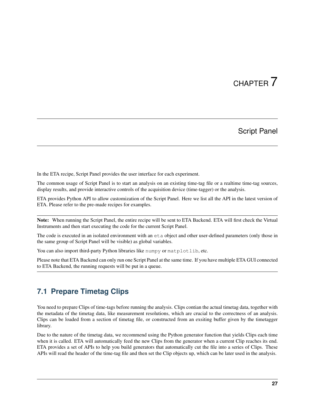# CHAPTER 7

# Script Panel

<span id="page-30-0"></span>In the ETA recipe, Script Panel provides the user interface for each experiment.

The common usage of Script Panel is to start an analysis on an existing time-tag file or a realtime time-tag sources, display results, and provide interactive controls of the acquisition device (time-tagger) or the analysis.

ETA provides Python API to allow customization of the Script Panel. Here we list all the API in the latest version of ETA. Please refer to the pre-made recipes for examples.

Note: When running the Script Panel, the entire recipe will be sent to ETA Backend. ETA will first check the Virtual Instruments and then start executing the code for the current Script Panel.

The code is executed in an isolated environment with an eta object and other user-defined parameters (only those in the same group of Script Panel will be visible) as global variables.

You can also import third-party Python libraries like numpy or matplotlib, etc.

Please note that ETA Backend can only run one Script Panel at the same time. If you have multiple ETA GUI connected to ETA Backend, the running requests will be put in a queue.

# <span id="page-30-1"></span>**7.1 Prepare Timetag Clips**

You need to prepare Clips of time-tags before running the analysis. Clips contian the actual timetag data, together with the metadata of the timetag data, like measurement resolutions, which are crucial to the correctness of an analysis. Clips can be loaded from a section of timetag file, or constructed from an exsiting buffer given by the timetagger library.

Due to the nature of the timetag data, we recommend using the Python generator function that yields Clips each time when it is called. ETA will automatically feed the new Clips from the generator when a current Clip reaches its end. ETA provides a set of APIs to help you build generators that automatically cut the file into a series of Clips. These APIs will read the header of the time-tag file and then set the Clip objects up, which can be later used in the analysis.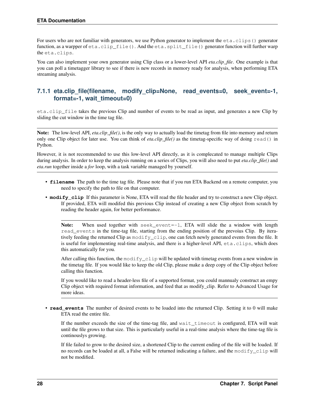For users who are not familiar with generators, we use Python generator to implement the  $eta$ .clips() generator function, as a warpper of eta.clip file(). And the eta.split file() generator function will further warp the eta.clips.

You can also implement your own generator using Clip class or a lower-level API *eta.clip\_file*. One example is that you can poll a timetagger library to see if there is new records in memory ready for analysis, when performing ETA streaming analysis.

## **7.1.1 eta.clip\_file(filename, modify\_clip=None, read\_events=0, seek\_event=-1, format=-1, wait\_timeout=0)**

eta.clip\_file takes the previous Clip and number of events to be read as input, and generates a new Clip by sliding the cut window in the time tag file.

Note: The low-level API, *eta.clip\_file()*, is the only way to actually load the timetag from file into memory and return only one Clip object for later use. You can think of *eta.clip\_file()* as the timetag-specific way of doing read() in Python.

However, it is not recommended to use this low-level API directly, as it is complecated to manage multiple Clips during analysis. In order to keep the analysis running on a series of Clips, you will also need to put *eta.clip\_file()* and *eta.run* together inside a *for* loop, with a task variable managed by yourself.

- **filename** The path to the time tag file. Please note that if you run ETA Backend on a remote computer, you need to specify the path to file on that computer.
- **modify\_clip** If this parameter is None, ETA will read the file header and try to construct a new Clip object. If provided, ETA will modifed this previous Clip instead of creating a new Clip object from scratch by reading the header again, for better performance.

Note: When used together with seek event= $-1$ , ETA will slide the a window with length read\_events in the time-tag file, starting from the ending position of the prevoius Clip. By iteratively feeding the returned Clip as modify\_clip, one can fetch newly generated events from the file. It is useful for implementing real-time analysis, and there is a higher-level API, eta.clips, which does this automatically for you.

After calling this function, the modify clip will be updated with timetag events from a new window in the timetag file. If you would like to keep the old Clip, please make a deep copy of the Clip object before calling this function.

If you would like to read a header-less file of a supported format, you could mannualy construct an empy Clip object with required format information, and feed that as modify\_clip. Refer to Advanced Usage for more ideas.

• **read\_events** The number of desired events to be loaded into the returned Clip. Setting it to 0 will make ETA read the entire file.

If the number exceeds the size of the time-tag file, and wait\_timeout is configured, ETA will wait until the file grows to that size. This is particularly useful in a real-time analysis where the time-tag file is continouslys growing.

If file failed to grow to the desired size, a shortened Clip to the current ending of the file will be loaded. If no records can be loaded at all, a False will be returned indicating a failure, and the modify clip will not be modified.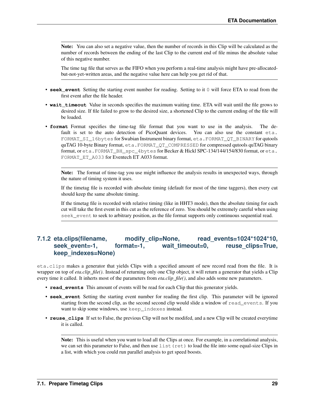Note: You can also set a negative value, then the number of records in this Clip will be calculated as the number of records between the ending of the last Clip to the current end of file minus the absolute value of this negative number.

The time tag file that serves as the FIFO when you perform a real-time analysis might have pre-allocatedbut-not-yet-written areas, and the negative value here can help you get rid of that.

- **seek\_event** Setting the starting event number for reading. Setting to it 0 will force ETA to read from the first event after the file header.
- **wait\_timeout** Value in seconds specifies the maximum waiting time. ETA will wait until the file grows to desired size. If file failed to grow to the desired size, a shortened Clip to the current ending of the file will be loaded.
- **format** Format specifies the time-tag file format that you want to use in the analysis. The default is set to the auto detection of PicoQuant devices. You can also use the constant eta. FORMAT\_SI\_16bytes for Swabian Instrument binary format, eta.FORMAT\_QT\_BINARY for qutools quTAG 10-byte Binary format, eta.FORMAT\_QT\_COMPRESSED for compressed qutools quTAG binary format, or eta.FORMAT\_BH\_spc\_4bytes for Becker & Hickl SPC-134/144/154/830 format, or eta. FORMAT\_ET\_A033 for Eventech ET A033 format.

Note: The format of time-tag you use might influence the analysis results in unexpected ways, through the nature of timing system it uses.

If the timetag file is recorded with absolute timing (default for most of the time taggers), then every cut should keep the same absolute timing.

If the timetag file is recorded with relative timing (like in HHT3 mode), then the absolute timing for each cut will take the first event in this cut as the reference of zero. You should be extremely careful when using seek\_event to seek to arbitrary position, as the file format supports only continuous sequential read.

## **7.1.2 eta.clips(filename, modify\_clip=None, read\_events=1024\*1024\*10,** seek event=-1, format=-1, wait timeout=0, reuse clips=True, **keep\_indexes=None)**

eta.clips makes a generator that yields Clips with a specified amount of new record read from the file. It is wrapper on top of *eta.clip\_file()*. Instead of returning only one Clip object, it will return a generator that yields a Clip every time it called. It inherts most of the parameters from *eta.clip\_file()*, and also adds some new parameters.

- **read events** This amount of events will be read for each Clip that this generator yields.
- **seek\_event** Setting the starting event number for reading the first clip. This parameter will be ignored starting from the second clip, as the second second clip would slide a window of read\_events. If you want to skip some windows, use keep indexes instead.
- **reuse\_clips** If set to False, the previous Clip will not be modifed, and a new Clip will be created everytime it is called.

Note: This is useful when you want to load all the Clips at once. For example, in a correlational analysis, we can set this parameter to False, and then use list (ret) to load the file into some equal-size Clips in a list, with which you could run parallel analysis to get speed boosts.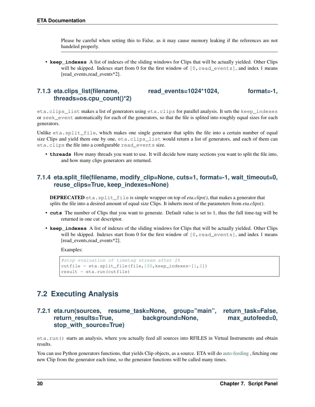Please be careful when setting this to False, as it may cause memory leaking if the references are not handeled properly.

• **keep\_indexes** A list of indexes of the sliding windows for Clips that will be actually yielded. Other Clips will be skipped. Indexes start from 0 for the first window of  $[0, \text{read\_events}$ , and index 1 means [read\_events,read\_events\*2].

## **7.1.3 eta.clips\_list(filename, read\_events=1024\*1024, format=-1, threads=os.cpu\_count()\*2)**

eta.clips\_list makes a list of generators using eta.clips for parallel analysis. It sets the keep\_indexes or seek\_event automatically for each of the generators, so that the file is splited into roughly equal sizes for each generators.

Unlike eta.split\_file, which makes one single generator that splits the file into a certain number of equal size Clips and yield them one by one, eta.clips list would return a list of generators, and each of them can eta.clips the file into a configurable read\_events size.

• **threads** How many threads you want to use. It will decide how many sections you want to split the file into, and how many clips generators are returned.

### **7.1.4 eta.split\_file(filename, modify\_clip=None, cuts=1, format=-1, wait\_timeout=0, reuse\_clips=True, keep\_indexes=None)**

DEPRECATED eta.split\_file is simple wrapper on top of *eta.clips()*, that makes a generator that splits the file into a desired amount of equal size Clips. It inherts most of the parameters from *eta.clips()*.

- **cuts** The number of Clips that you want to generate. Default value is set to 1, thus the full time-tag will be returned in one cut descriptor.
- **keep\_indexes** A list of indexes of the sliding windows for Clips that will be actually yielded. Other Clips will be skipped. Indexes start from 0 for the first window of  $[0, \text{read_events}]$ , and index 1 means [read\_events,read\_events\*2].

Examples:

```
#stop evaluation of timetag stream after 2%
cutfile = eta.split_file(file,100, keep_indexes=[1,2])
result = eta.run(cutfile)
```
# <span id="page-33-0"></span>**7.2 Executing Analysis**

## **7.2.1 eta.run(sources, resume\_task=None, group="main", return\_task=False, return\_results=True, background=None, max\_autofeed=0, stop\_with\_source=True)**

eta.run() starts an analysis, where you actually feed all sources into RFILES in Virtual Instruments and obtain results.

You can use Python generators functions, that yields Clip objects, as a source. ETA will do [auto-feeding](https://github.com/timetag/ETA/issues/122), fetching one new Clip from the generator each time, so the generator functions will be called many times.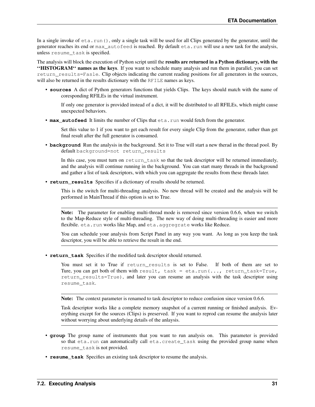In a single invoke of  $eta$ , run(), only a single task will be used for all Clips generated by the generator, until the generator reaches its end or max\_autofeed is reached. By default eta.run will use a new task for the analysis, unless resume\_task is specified.

The analysis will block the execution of Python script until the results are returned in a Python dictionary, with the ''HISTOGRAM'' names as the keys. If you want to schedule many analysis and run them in parallel, you can set return results=Fasle. Clip objects indicating the current reading positions for all generators in the sources, will also be returned in the results dictionary with the RFILE names as keys.

• **sources** A dict of Python generators functions that yields Clips. The keys should match with the name of coresponding RFILEs in the virtual instrument.

If only one generator is provided instead of a dict, it will be distributed to all RFILEs, which might cause unexpected behaviors.

• **max\_autofeed** It limits the number of Clips that eta.run would fetch from the generator.

Set this value to 1 if you want to get each result for every single Clip from the generator, rather than get final result after the full generator is consumed.

• **background** Run the analysis in the background. Set it to True will start a new therad in the thread pool. By default background=not return results

In this case, you must turn on return\_task so that the task descriptor will be returned immediately, and the analysis will continue running in the background. You can start many threads in the background and gather a list of task descriptors, with which you can aggregate the results from these threads later.

• **return\_results** Specifies if a dictionary of results should be returned.

This is the switch for multi-threading analysis. No new thread will be created and the analysis will be performed in MainThread if this option is set to True.

Note: The parameter for enabling multi-thread mode is removed since version 0.6.6, when we switch to the Map-Reduce style of multi-threading. The new way of doing multi-threading is easier and more flexibile. eta.run works like Map, and eta.aggregrate works like Reduce.

You can schedule your analysis from Script Panel in any way you want. As long as you keep the task descriptor, you will be able to retrieve the result in the end.

• **return\_task** Specifies if the modified task descriptor should returned.

You must set it to True if return\_results is set to False. If both of them are set to Ture, you can get both of them with result, task = eta.run(..., return\_task=True, return\_results=True), and later you can resume an analysis with the task descriptor using resume\_task.

Note: The context parameter is renamed to task descriptor to reduce confusion since version 0.6.6.

Task descriptor works like a complete memory snapshot of a current running or finished analysis. Everything except for the sources (Clips) is preserved. If you want to reprod can resume the analysis later without worrying about underlying details of the anlaysis.

- **group** The group name of instruments that you want to run analysis on. This parameter is provided so that eta.run can automatically call eta.create\_task using the provided group name when resume\_task is not provided.
- **resume task** Specifies an existing task descriptor to resume the analysis.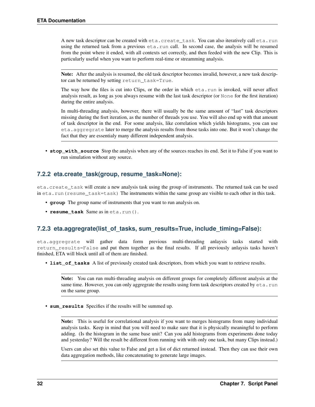A new task descriptor can be created with eta.create task. You can also iteratively call eta.run using the returned task from a previous eta.run call. In second case, the analysis will be resumed from the point where it ended, with all contexts set correctly, and then feeded with the new Clip. This is particularly useful when you want to perform real-time or streamming analysis.

Note: After the analysis is resumed, the old task descriptor becomes invalid, however, a new task descriptor can be returned by setting return\_task=True.

The way how the files is cut into Clips, or the order in which eta.run is invoked, will never affect analysis result, as long as you always resume with the last task descriptor (or None for the first iteration) during the entire analysis.

In multi-threading analysis, however, there will usually be the same amount of "last" task descriptors missing during the fisrt iteration, as the number of threads you use. You will also end up with that amount of task descriptor in the end. For some analysis, like correlation which yields histograms, you can use eta.aggregrate later to merge the analysis results from those tasks into one. But it won't change the fact that they are essentialy many different independent analysis.

• **stop\_with\_source** Stop the analysis when any of the sources reaches its end. Set it to False if you want to run simulation without any source.

## **7.2.2 eta.create\_task(group, resume\_task=None):**

eta.create\_task will create a new analysis task using the group of instruments. The returned task can be used in eta.run(resume\_task=task) The instruments within the same group are visible to each other in this task.

- **group** The group name of instruments that you want to run analysis on.
- **resume\_task** Same as in eta.run().

## **7.2.3 eta.aggregrate(list\_of\_tasks, sum\_results=True, include\_timing=False):**

eta.aggregrate will gather data form previous multi-threading anlaysis tasks started with return\_results=False and put them together as the final results. If all previously anlaysis tasks haven't finished, ETA will block until all of them are finished.

• **list\_of\_tasks** A list of previously created task descriptors, from which you want to retrieve results.

Note: You can run multi-threading analysis on different groups for completely different analysis at the same time. However, you can only aggregrate the results using form task descriptors created by eta.run on the same group.

• **sum\_results** Specifies if the results will be summed up.

Note: This is useful for correlational analysis if you want to merges histograms from many individual analysis tasks. Keep in mind that you will need to make sure that it is physically meaningful to perform adding. (Is the histogram in the same base unit? Can you add histograms from experiments done today and yesterday? Will the result be different from running with with only one task, but many Clips instead.)

Users can also set this value to False and get a list of dict returned instead. Then they can use their own data aggregation methods, like concatenating to generate large images.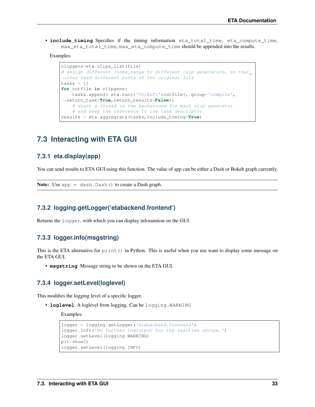• *include timing* Specifies if the timing information eta total time, eta compute time, max\_eta\_total\_time, max\_eta\_compute\_time should be appended into the results.

Examples:

```
clipgens=eta.clips_list(file)
# assign different index range to different clip generators, so that.
˓→they read different parts of the original file
tasks = []
for cutfile in clipgens:
   tasks.append( eta.run({'UniBuf1':cutfile}, group='compile',
˓→return_task=True,return_results=False))
   # start a thread in the background for each clip generator
   # and keep the reference to the task descriptor
results = eta.aggregrate(tasks,include_timing=True)
```
# <span id="page-36-0"></span>**7.3 Interacting with ETA GUI**

#### **7.3.1 eta.display(app)**

You can send results to ETA GUI using this function. The value of app can be either a Dash or Bokeh graph currently.

Note: Use app = dash.Dash() to create a Dash graph.

#### **7.3.2 logging.getLogger('etabackend.frontend')**

Returns the logger, with which you can display inforamtion on the GUI.

#### **7.3.3 logger.info(msgstring)**

This is the ETA alternative for print () in Python. This is useful when you use want to display some message on the ETA GUI.

• **msgstring** Message string to be shown on the ETA GUI.

#### **7.3.4 logger.setLevel(loglevel)**

This modifies the logging level of a specific logger.

• **loglevel** A loglevel from logging. Can be logging.WARNING

Examples:

```
logger = logging.getLogger('etabackend.frontend')
logger.info('No further logoutput for the realtime recipe.')
logger.setLevel(logging.WARNING)
plt.show()
logger.setLevel(logging.INFO)
```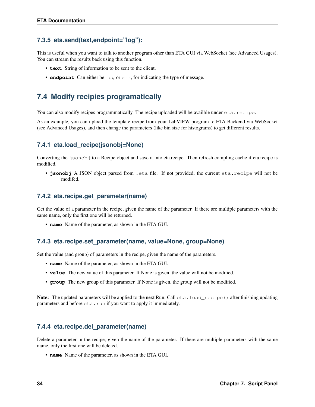## **7.3.5 eta.send(text,endpoint="log"):**

This is useful when you want to talk to another program other than ETA GUI via WebSocket (see Advanced Usages). You can stream the results back using this function.

- **text** String of information to be sent to the client.
- **endpoint** Can either be log or err, for indicating the type of message.

# <span id="page-37-0"></span>**7.4 Modify recipies programatically**

You can also modify recipes programmatically. The recipe uploaded will be availble under eta.recipe.

As an example, you can upload the template recipe from your LabVIEW program to ETA Backend via WebSocket (see Advanced Usages), and then change the parameters (like bin size for histograms) to get different results.

## **7.4.1 eta.load\_recipe(jsonobj=None)**

Converting the jsonobj to a Recipe object and save it into eta.recipe. Then refresh compling cache if eta.recipe is modified.

• **jsonobj** A JSON object parsed from .eta file. If not provided, the current eta.recipe will not be modifed.

## **7.4.2 eta.recipe.get\_parameter(name)**

Get the value of a parameter in the recipe, given the name of the parameter. If there are multiple parameters with the same name, only the first one will be returned.

• **name** Name of the parameter, as shown in the ETA GUI.

#### **7.4.3 eta.recipe.set\_parameter(name, value=None, group=None)**

Set the value (and group) of parameters in the recipe, given the name of the parameters.

- **name** Name of the parameter, as shown in the ETA GUI.
- **value** The new value of this parameter. If None is given, the value will not be modified.
- **group** The new group of this parameter. If None is given, the group will not be modified.

Note: The updated parameters will be applied to the next Run. Call eta.load\_recipe() after finishing updating parameters and before  $eta$ . run if you want to apply it immediately.

## **7.4.4 eta.recipe.del\_parameter(name)**

Delete a parameter in the recipe, given the name of the parameter. If there are multiple parameters with the same name, only the first one will be deleted.

• **name** Name of the parameter, as shown in the ETA GUI.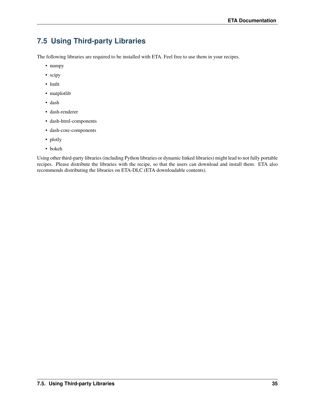# <span id="page-38-0"></span>**7.5 Using Third-party Libraries**

The following libraries are required to be installed with ETA. Feel free to use them in your recipes.

- numpy
- scipy
- lmfit
- matplotlib
- dash
- dash-renderer
- dash-html-components
- dash-core-components
- plotly
- bokeh

Using other third-party libraries (including Python libraries or dynamic linked libraries) might lead to not fully portable recipes. Please distribute the libraries with the recipe, so that the users can download and install them. ETA also recommends distributing the libraries on ETA-DLC (ETA downloadable contents).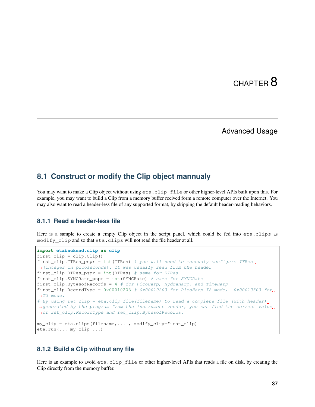# CHAPTER<sup>8</sup>

# Advanced Usage

# <span id="page-40-1"></span><span id="page-40-0"></span>**8.1 Construct or modify the Clip object mannualy**

You may want to make a Clip object without using  $eta$ .clip\_file or other higher-level APIs built upon this. For example, you may want to build a Clip from a memory buffer recived form a remote computer over the Internet. You may also want to read a header-less file of any supported format, by skipping the default header-reading behaviors.

### **8.1.1 Read a header-less file**

Here is a sample to create a empty Clip object in the script panel, which could be fed into eta.clips as modify\_clip and so that eta.clips will not read the file header at all.

```
import etabackend.clip as clip
first_clip = clip.Clip()
first_clip.TTRes_pspr = int(TTRes) # you will need to mannualy configure TTRes.
˓→(integer in picoseconds). It was usually read from the header
first_clip.DTRes_pspr = int(DTRes) # same for DTRes
first_clip.SYNCRate_pspr = int(SYNCRate) # same for SYNCRate
first_clip.BytesofRecords = 4 # for PicoHarp, HydraHarp, and TimeHarp
first_clip.RecordType = 0x00010203 # 0x00010203 for PicoHarp T2 mode, 0x00010303 for
˓→T3 mode.
# By using ret_clip = eta.clip_file(filename) to read a complete file (with header).
→generated by the program from the instrument vendor, you can find the correct value,
→of ret clip.RecordType and ret clip.BytesofRecords.
my_clip = eta.clips(filename,... , modify_clip=first_clip)
eta.run(... my_clip ...)
```
#### **8.1.2 Build a Clip without any file**

Here is an example to avoid eta.clip file or other higher-level APIs that reads a file on disk, by creating the Clip directly from the memory buffer.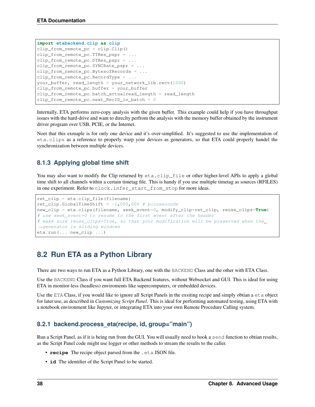```
import etabackend.clip as clip
clip_from_remote_pc = clip.Clip()
clip_from_remote_pc.TTRes_pspr = ...
clip_from_remote_pc.DTRes_pspr = ...
clip_from_remote_pc.SYNCRate_pspr = ...
clip_from_remote_pc.BytesofRecords = ...
clip_from_remote_pc.RecordType = ...
your_buffer, read_length = your_network_lib.recv(1000)
clip_from_remote_pc.buffer = your_buffer
clip_from_remote_pc.batch_actualread_length = read_length
clip_from_remote_pc.next_RecID_in_batch = 0
```
Internally, ETA performs zero-copy analysis with the given buffer. This example could help if you have throughput issues with the hard-drive and want to direclty perfrom the analysis with the memory buffer obtained by the instrument driver program over USB, PCIE, or the Internet.

Noet that this exmaple is for only one device and it's over-simplified. It's suggested to use the implementation of eta.clips as a reference to properly warp your devices as generators, so that ETA could properly handel the synchronization between multiple devices.

## **8.1.3 Applying global time shift**

You may also want to modify the Clip returned by  $eta$ .clip\_file or other higher-level APIs to apply a global time shift to all channels within a certain timetag file. This is handy if you use multiple timetag as sources (RFILES) in one experiment. Refer to clock.infer\_start\_from\_stop for more ideas.

```
ret_clip = eta.clip_file(filename)
ret_clip.GlobalTimeShift = -1,000,000 # picoseconds
new_clip = eta.clips(filename, seek_event=0, modify_clip=ret_clip, reuse_clips=True)
# use seek_event=0 to resume to the first event after the header
# make sure reuse_clips=True, so that your modification will be preserved when the
˓→generator is sliding windows
eta.run(... new_clip ...)
```
# <span id="page-41-0"></span>**8.2 Run ETA as a Python Library**

There are two ways to run ETA as a Python Library, one with the BACKEND Class and the other with ETA Class.

Use the BACKEND Class if you want full ETA Backend features, without Websocket and GUI. This is ideal for using ETA in monitor-less (headless) enviroments like supercomputers, or embedded devices.

Use the ETA Class, if you would like to ignore all Script Panels in the exsiting recipe and simply obtian a eta object for later use, as described in *Customizing Script Panel*. This is ideal for performing automated testing, using ETA with a notebook environment like Jupyter, or integrating ETA into your own Remote Procedure Calling system.

## **8.2.1 backend.process\_eta(recipe, id, group="main")**

Run a Script Panel, as if it is being run from the GUI. You will usually need to hook a send function to obtian results, as the Script Panel code might use logger or other methods to stream the results to the caller.

- **recipe** The recipe object parsed from the .eta JSON file.
- **id** The identifier of the Script Panel to be started.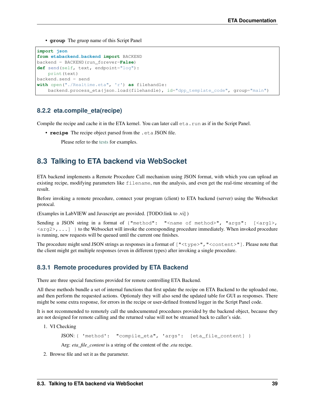• **group** The gruop name of this Script Panel

```
import json
from etabackend.backend import BACKEND
backend = BACKEND(run_forever=False)
def send(self, text, endpoint="log"):
    print(text)
backend.send = send
with open("./Realtime.eta", 'r') as filehandle:
   backend.process_eta(json.load(filehandle), id="dpp_template_code", group="main")
```
#### **8.2.2 eta.compile\_eta(recipe)**

Compile the recipe and cache it in the ETA kernel. You can later call  $eta$ . run as if in the Script Panel.

- **recipe** The recipe object parsed from the .eta JSON file.
	- Please refer to the [tests](https://github.com/timetag/ETA/tree/master/tests) for examples.

# <span id="page-42-0"></span>**8.3 Talking to ETA backend via WebSocket**

ETA backend implements a Remote Procedure Call mechanism using JSON format, with which you can upload an existing recipe, modifying parameters like filename, run the analysis, and even get the real-time streaming of the result.

Before invoking a remote procedure, connect your program (client) to ETA backend (server) using the Websocket protocal.

(Examples in LabVIEW and Javascript are provided. [TODO:link to .vi] )

Sending a JSON string in a format of {"method": "<name of method>", "args": [<arg1>,  $\langle \arg 2 \rangle$ , ...] } to the Websocket will invoke the corresponding procedure immediately. When invoked procedure is running, new requests will be queued until the current one finishes.

The procedure might send JSON strings as responses in a format of  $\lceil$  "<type>", "<content>"]. Please note that the client might get multiple responses (even in different types) after invoking a single procedure.

#### **8.3.1 Remote procedures provided by ETA Backend**

There are three special functions provided for remote controlling ETA Backend.

All these methods bundle a set of internal functions that first update the recipe on ETA Backend to the uploaded one, and then perform the requested actions. Optionaly they will also send the updated table for GUI as responses. There might be some extra response, for errors in the recipe or user-defined frontend logger in the Script Panel code.

It is not recommended to remotely call the undocumented procedures provided by the backend object, because they are not designed for remote calling and the returned value will not be streamed back to caller's side.

1. VI Checking

```
JSON: { 'method': "compile_eta", 'args': [eta_file_content] }
```
Arg: *eta\_file\_content* is a string of the content of the *.eta* recipe.

2. Browse file and set it as the parameter.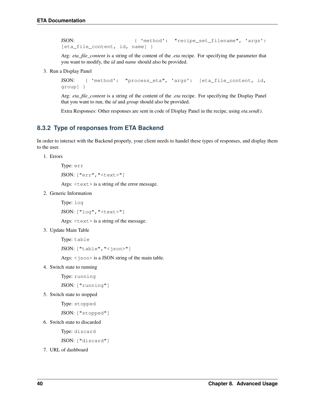JSON: { 'method': "recipe\_set\_filename", 'args': [eta\_file\_content, id, name] }

Arg: *eta\_file\_content* is a string of the content of the *.eta* recipe. For specifying the parameter that you want to modify, the *id* and *name* should also be provided.

3. Run a Display Panel

```
JSON: { 'method': "process_eta", 'args': [eta_file_content, id,
group] }
```
Arg: *eta\_file\_content* is a string of the content of the *.eta* recipe. For specifying the Display Panel that you want to run, the *id* and *group* should also be provided.

Extra Responses: Other responses are sent in code of Display Panel in the recipe, using *eta.send()*.

### **8.3.2 Type of responses from ETA Backend**

In order to interact with the Backend properly, your client needs to handel these types of responses, and display them to the user.

1. Errors

Type: err

```
JSON: ["err","<text>"]
```
Args:  $\text{text} > i$  is a string of the error message.

2. Generic Information

Type: log

```
JSON: ["log","<text>"]
```
Args:  $\langle \text{text} \rangle$  is a string of the message.

3. Update Main Table

Type: table

JSON: ["table","<json>"]

Args:  $\langle$ json $\rangle$  is a JSON string of the main table.

4. Switch state to running

Type: running

JSON: ["running"]

5. Switch state to stopped

Type: stopped

JSON: ["stopped"]

6. Switch state to discarded

Type: discard

JSON: ["discard"]

7. URL of dashboard